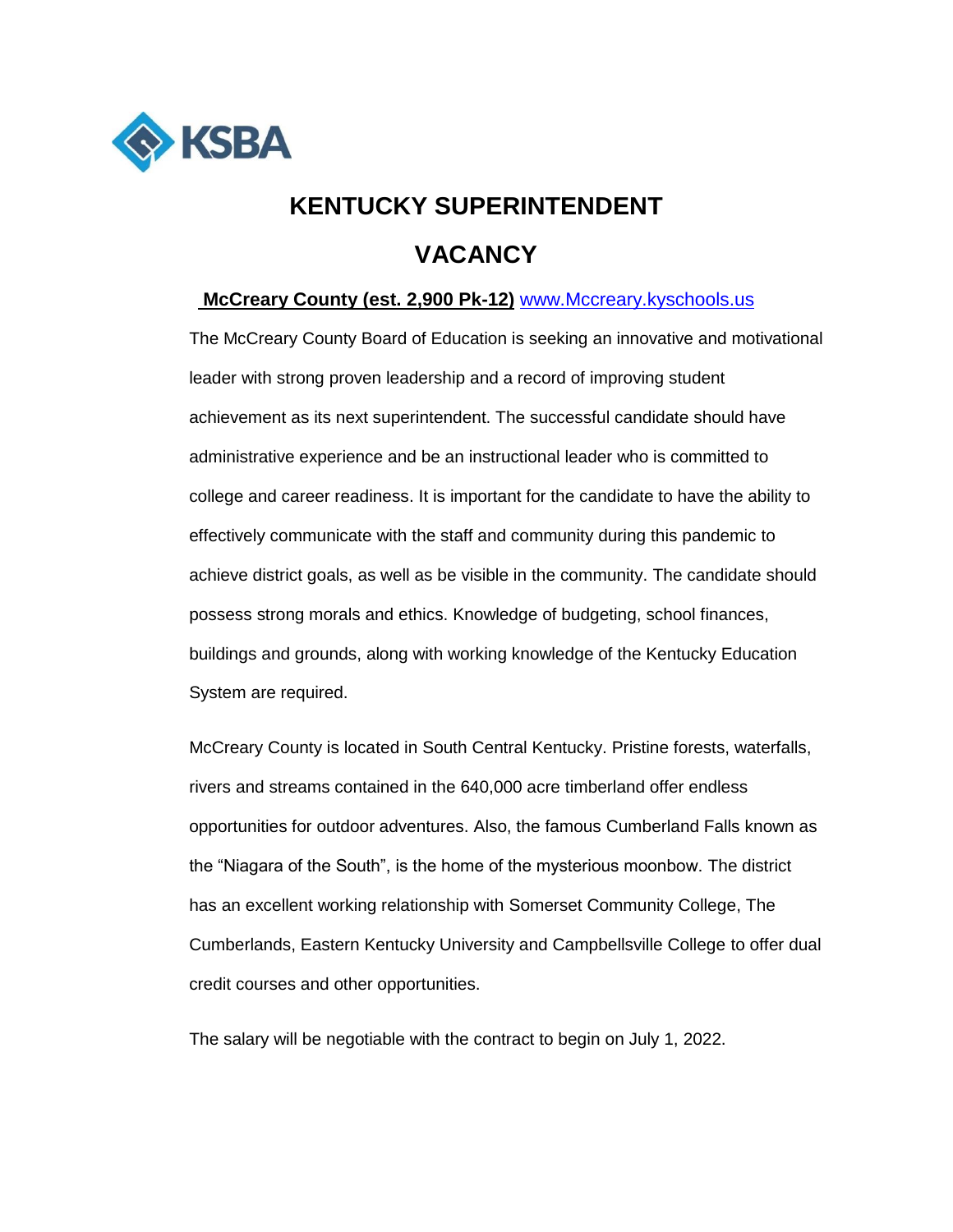

## **KENTUCKY SUPERINTENDENT VACANCY**

## **McCreary County (est. 2,900 Pk-12)** [www.Mccreary.kyschools.us](http://www.mccreary.kyschools.us/)

The McCreary County Board of Education is seeking an innovative and motivational leader with strong proven leadership and a record of improving student achievement as its next superintendent. The successful candidate should have administrative experience and be an instructional leader who is committed to college and career readiness. It is important for the candidate to have the ability to effectively communicate with the staff and community during this pandemic to achieve district goals, as well as be visible in the community. The candidate should possess strong morals and ethics. Knowledge of budgeting, school finances, buildings and grounds, along with working knowledge of the Kentucky Education System are required.

McCreary County is located in South Central Kentucky. Pristine forests, waterfalls, rivers and streams contained in the 640,000 acre timberland offer endless opportunities for outdoor adventures. Also, the famous Cumberland Falls known as the "Niagara of the South", is the home of the mysterious moonbow. The district has an excellent working relationship with Somerset Community College, The Cumberlands, Eastern Kentucky University and Campbellsville College to offer dual credit courses and other opportunities.

The salary will be negotiable with the contract to begin on July 1, 2022.